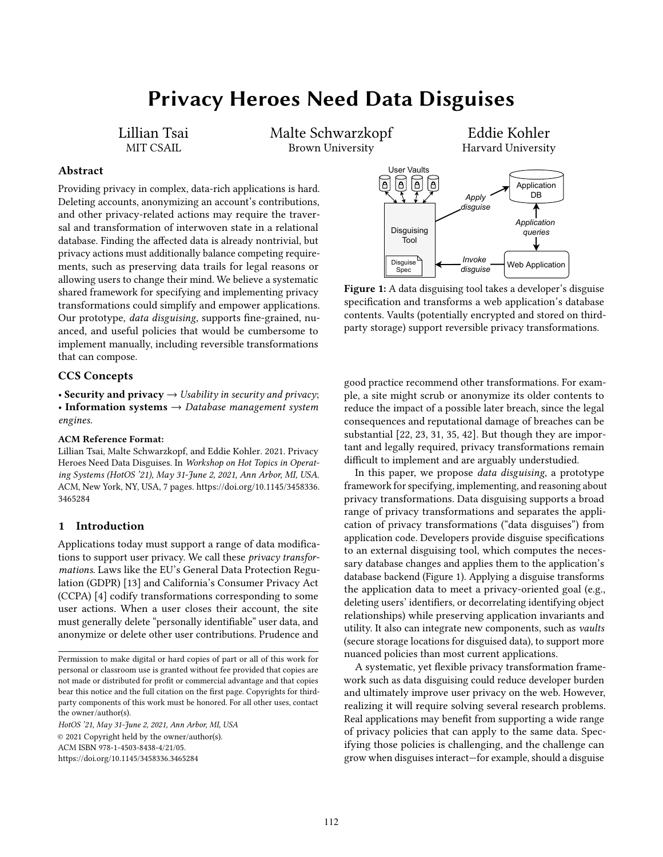# Privacy Heroes Need Data Disguises

Lillian Tsai MIT CSAIL

Malte Schwarzkopf Brown University

Eddie Kohler Harvard University

## Abstract

Providing privacy in complex, data-rich applications is hard. Deleting accounts, anonymizing an account's contributions, and other privacy-related actions may require the traversal and transformation of interwoven state in a relational database. Finding the affected data is already nontrivial, but privacy actions must additionally balance competing requirements, such as preserving data trails for legal reasons or allowing users to change their mind. We believe a systematic shared framework for specifying and implementing privacy transformations could simplify and empower applications. Our prototype, data disguising, supports fine-grained, nuanced, and useful policies that would be cumbersome to implement manually, including reversible transformations that can compose.

## CCS Concepts

• Security and privacy  $\rightarrow$  Usability in security and privacy; • Information systems  $\rightarrow$  Database management system engines.

#### ACM Reference Format:

Lillian Tsai, Malte Schwarzkopf, and Eddie Kohler. 2021. Privacy Heroes Need Data Disguises. In Workshop on Hot Topics in Operating Systems (HotOS '21), May 31-June 2, 2021, Ann Arbor, MI, USA. ACM, New York, NY, USA, [7](#page-6-0) pages. [https://doi.org/10.1145/3458336.](https://doi.org/10.1145/3458336.3465284) [3465284](https://doi.org/10.1145/3458336.3465284)

#### 1 Introduction

Applications today must support a range of data modifications to support user privacy. We call these privacy transformations. Laws like the EU's General Data Protection Regulation (GDPR) [\[13\]](#page-5-0) and California's Consumer Privacy Act (CCPA) [\[4\]](#page-5-1) codify transformations corresponding to some user actions. When a user closes their account, the site must generally delete "personally identifiable" user data, and anonymize or delete other user contributions. Prudence and

HotOS '21, May 31-June 2, 2021, Ann Arbor, MI, USA © 2021 Copyright held by the owner/author(s). ACM ISBN 978-1-4503-8438-4/21/05.

<https://doi.org/10.1145/3458336.3465284>

<span id="page-0-0"></span>

Figure 1: A data disguising tool takes a developer's disguise specification and transforms a web application's database contents. Vaults (potentially encrypted and stored on thirdparty storage) support reversible privacy transformations.

good practice recommend other transformations. For example, a site might scrub or anonymize its older contents to reduce the impact of a possible later breach, since the legal consequences and reputational damage of breaches can be substantial [\[22,](#page-6-1) [23,](#page-6-2) [31,](#page-6-3) [35,](#page-6-4) [42\]](#page-6-5). But though they are important and legally required, privacy transformations remain difficult to implement and are arguably understudied.

In this paper, we propose data disguising, a prototype framework for specifying, implementing, and reasoning about privacy transformations. Data disguising supports a broad range of privacy transformations and separates the application of privacy transformations ("data disguises") from application code. Developers provide disguise specifications to an external disguising tool, which computes the necessary database changes and applies them to the application's database backend (Figure [1\)](#page-0-0). Applying a disguise transforms the application data to meet a privacy-oriented goal (e.g., deleting users' identifiers, or decorrelating identifying object relationships) while preserving application invariants and utility. It also can integrate new components, such as vaults (secure storage locations for disguised data), to support more nuanced policies than most current applications.

A systematic, yet flexible privacy transformation framework such as data disguising could reduce developer burden and ultimately improve user privacy on the web. However, realizing it will require solving several research problems. Real applications may benefit from supporting a wide range of privacy policies that can apply to the same data. Specifying those policies is challenging, and the challenge can grow when disguises interact—for example, should a disguise

Permission to make digital or hard copies of part or all of this work for personal or classroom use is granted without fee provided that copies are not made or distributed for profit or commercial advantage and that copies bear this notice and the full citation on the first page. Copyrights for thirdparty components of this work must be honored. For all other uses, contact the owner/author(s).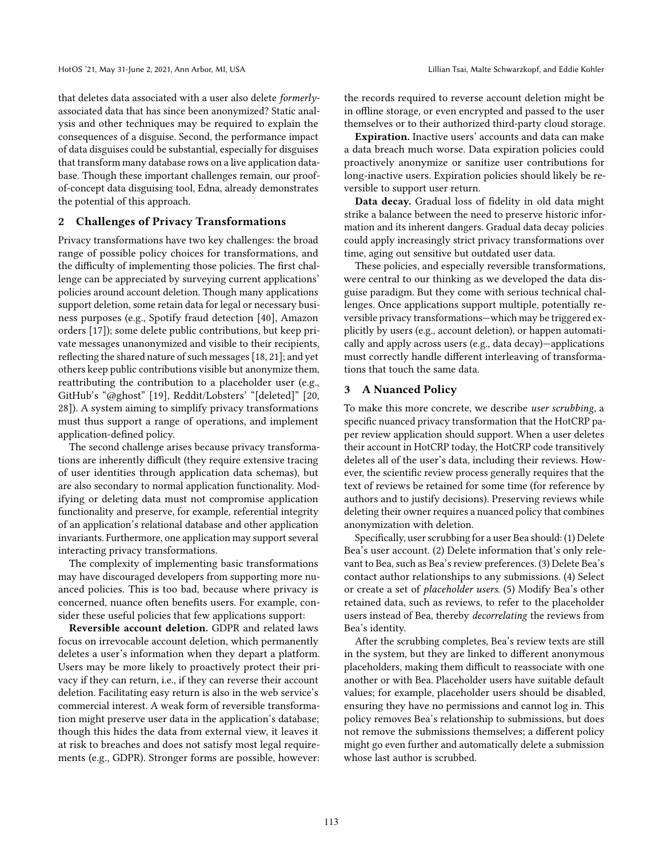that deletes data associated with a user also delete formerlyassociated data that has since been anonymized? Static analysis and other techniques may be required to explain the consequences of a disguise. Second, the performance impact of data disguises could be substantial, especially for disguises that transform many database rows on a live application database. Though these important challenges remain, our proofof-concept data disguising tool, Edna, already demonstrates the potential of this approach.

## 2 Challenges of Privacy Transformations

Privacy transformations have two key challenges: the broad range of possible policy choices for transformations, and the difficulty of implementing those policies. The first challenge can be appreciated by surveying current applications' policies around account deletion. Though many applications support deletion, some retain data for legal or necessary business purposes (e.g., Spotify fraud detection [\[40\]](#page-6-6), Amazon orders [\[17\]](#page-6-7)); some delete public contributions, but keep private messages unanonymized and visible to their recipients, reflecting the shared nature of such messages [\[18,](#page-6-8) [21\]](#page-6-9); and yet others keep public contributions visible but anonymize them, reattributing the contribution to a placeholder user (e.g., GitHub's "@ghost" [\[19\]](#page-6-10), Reddit/Lobsters' "[deleted]" [\[20,](#page-6-11) [28\]](#page-6-12)). A system aiming to simplify privacy transformations must thus support a range of operations, and implement application-defined policy.

The second challenge arises because privacy transformations are inherently difficult (they require extensive tracing of user identities through application data schemas), but are also secondary to normal application functionality. Modifying or deleting data must not compromise application functionality and preserve, for example, referential integrity of an application's relational database and other application invariants. Furthermore, one application may support several interacting privacy transformations.

The complexity of implementing basic transformations may have discouraged developers from supporting more nuanced policies. This is too bad, because where privacy is concerned, nuance often benefits users. For example, consider these useful policies that few applications support:

Reversible account deletion. GDPR and related laws focus on irrevocable account deletion, which permanently deletes a user's information when they depart a platform. Users may be more likely to proactively protect their privacy if they can return, i.e., if they can reverse their account deletion. Facilitating easy return is also in the web service's commercial interest. A weak form of reversible transformation might preserve user data in the application's database; though this hides the data from external view, it leaves it at risk to breaches and does not satisfy most legal requirements (e.g., GDPR). Stronger forms are possible, however: the records required to reverse account deletion might be in offline storage, or even encrypted and passed to the user themselves or to their authorized third-party cloud storage.

Expiration. Inactive users' accounts and data can make a data breach much worse. Data expiration policies could proactively anonymize or sanitize user contributions for long-inactive users. Expiration policies should likely be reversible to support user return.

Data decay. Gradual loss of fidelity in old data might strike a balance between the need to preserve historic information and its inherent dangers. Gradual data decay policies could apply increasingly strict privacy transformations over time, aging out sensitive but outdated user data.

These policies, and especially reversible transformations, were central to our thinking as we developed the data disguise paradigm. But they come with serious technical challenges. Once applications support multiple, potentially reversible privacy transformations—which may be triggered explicitly by users (e.g., account deletion), or happen automatically and apply across users (e.g., data decay)—applications must correctly handle different interleaving of transformations that touch the same data.

## <span id="page-1-0"></span>3 A Nuanced Policy

To make this more concrete, we describe user scrubbing, a specific nuanced privacy transformation that the HotCRP paper review application should support. When a user deletes their account in HotCRP today, the HotCRP code transitively deletes all of the user's data, including their reviews. However, the scientific review process generally requires that the text of reviews be retained for some time (for reference by authors and to justify decisions). Preserving reviews while deleting their owner requires a nuanced policy that combines anonymization with deletion.

Specifically, user scrubbing for a user Bea should: (1) Delete Bea's user account. (2) Delete information that's only relevant to Bea, such as Bea's review preferences. (3) Delete Bea's contact author relationships to any submissions. (4) Select or create a set of placeholder users. (5) Modify Bea's other retained data, such as reviews, to refer to the placeholder users instead of Bea, thereby decorrelating the reviews from Bea's identity.

After the scrubbing completes, Bea's review texts are still in the system, but they are linked to different anonymous placeholders, making them difficult to reassociate with one another or with Bea. Placeholder users have suitable default values; for example, placeholder users should be disabled, ensuring they have no permissions and cannot log in. This policy removes Bea's relationship to submissions, but does not remove the submissions themselves; a different policy might go even further and automatically delete a submission whose last author is scrubbed.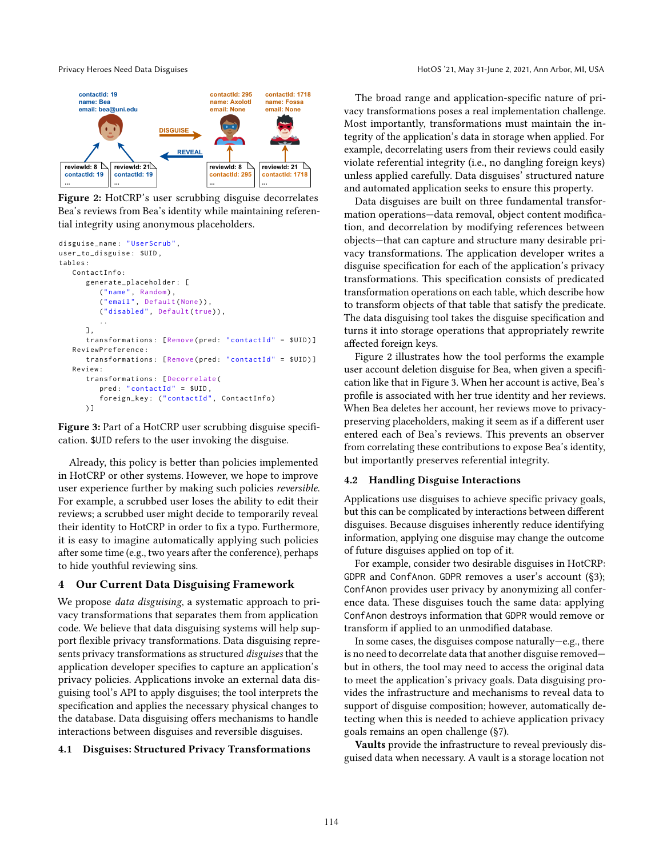<span id="page-2-0"></span>

Figure 2: HotCRP's user scrubbing disguise decorrelates Bea's reviews from Bea's identity while maintaining referential integrity using anonymous placeholders.

```
disguise_name : " UserScrub ",
user_to_disguise : $UID ,
tables :
   ContactInfo :
      generate_placeholder : [
          ("name", Random),
          ("email", Default(None)),
          ("disabled", Default(true)),
          ..
      \overline{1} ,
      transformations: [Remove(pred: "contactId" = $UID)]
   ReviewPreference :
      transformations: [Remove(pred: "contactId" = $UID)]
   Review :
      transformations : [ Decorrelate (
          pred: "contactId" = $UID,
          foreign_key: ("contactId", ContactInfo)
      ) ]
```
Figure 3: Part of a HotCRP user scrubbing disguise specification. \$UID refers to the user invoking the disguise.

Already, this policy is better than policies implemented in HotCRP or other systems. However, we hope to improve user experience further by making such policies reversible. For example, a scrubbed user loses the ability to edit their reviews; a scrubbed user might decide to temporarily reveal their identity to HotCRP in order to fix a typo. Furthermore, it is easy to imagine automatically applying such policies after some time (e.g., two years after the conference), perhaps to hide youthful reviewing sins.

## 4 Our Current Data Disguising Framework

We propose *data disguising*, a systematic approach to privacy transformations that separates them from application code. We believe that data disguising systems will help support flexible privacy transformations. Data disguising represents privacy transformations as structured disguises that the application developer specifies to capture an application's privacy policies. Applications invoke an external data disguising tool's API to apply disguises; the tool interprets the specification and applies the necessary physical changes to the database. Data disguising offers mechanisms to handle interactions between disguises and reversible disguises.

## 4.1 Disguises: Structured Privacy Transformations

The broad range and application-specific nature of privacy transformations poses a real implementation challenge. Most importantly, transformations must maintain the integrity of the application's data in storage when applied. For example, decorrelating users from their reviews could easily violate referential integrity (i.e., no dangling foreign keys) unless applied carefully. Data disguises' structured nature and automated application seeks to ensure this property.

Data disguises are built on three fundamental transformation operations—data removal, object content modification, and decorrelation by modifying references between objects—that can capture and structure many desirable privacy transformations. The application developer writes a disguise specification for each of the application's privacy transformations. This specification consists of predicated transformation operations on each table, which describe how to transform objects of that table that satisfy the predicate. The data disguising tool takes the disguise specification and turns it into storage operations that appropriately rewrite affected foreign keys.

Figure [2](#page-2-0) illustrates how the tool performs the example user account deletion disguise for Bea, when given a specification like that in Figure [3.](#page-2-1) When her account is active, Bea's profile is associated with her true identity and her reviews. When Bea deletes her account, her reviews move to privacypreserving placeholders, making it seem as if a different user entered each of Bea's reviews. This prevents an observer from correlating these contributions to expose Bea's identity, but importantly preserves referential integrity.

## 4.2 Handling Disguise Interactions

Applications use disguises to achieve specific privacy goals, but this can be complicated by interactions between different disguises. Because disguises inherently reduce identifying information, applying one disguise may change the outcome of future disguises applied on top of it.

For example, consider two desirable disguises in HotCRP: GDPR and ConfAnon. GDPR removes a user's account ([§3\)](#page-1-0); ConfAnon provides user privacy by anonymizing all conference data. These disguises touch the same data: applying ConfAnon destroys information that GDPR would remove or transform if applied to an unmodified database.

In some cases, the disguises compose naturally—e.g., there is no need to decorrelate data that another disguise removed but in others, the tool may need to access the original data to meet the application's privacy goals. Data disguising provides the infrastructure and mechanisms to reveal data to support of disguise composition; however, automatically detecting when this is needed to achieve application privacy goals remains an open challenge ([§7\)](#page-4-0).

Vaults provide the infrastructure to reveal previously disguised data when necessary. A vault is a storage location not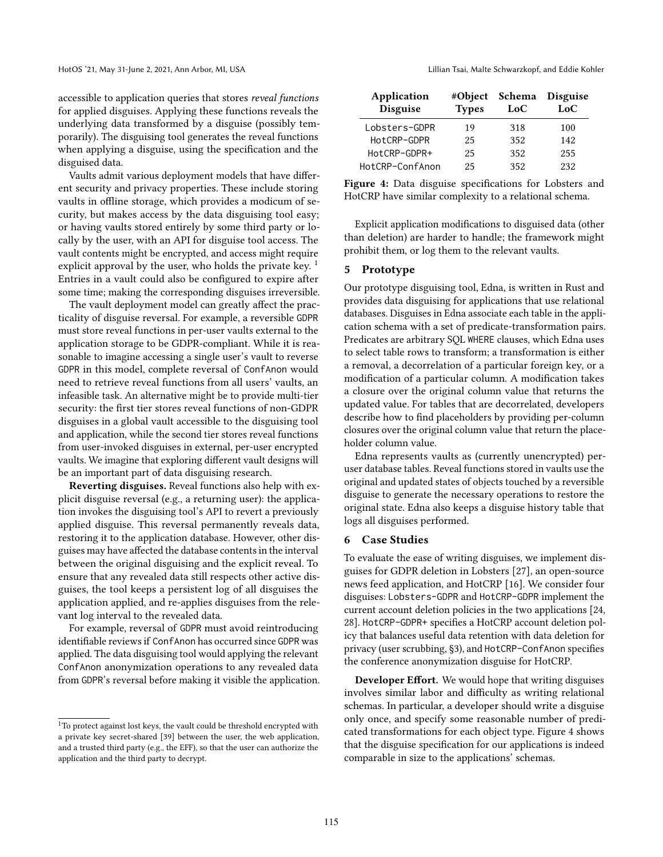accessible to application queries that stores reveal functions for applied disguises. Applying these functions reveals the underlying data transformed by a disguise (possibly temporarily). The disguising tool generates the reveal functions when applying a disguise, using the specification and the disguised data.

Vaults admit various deployment models that have different security and privacy properties. These include storing vaults in offline storage, which provides a modicum of security, but makes access by the data disguising tool easy; or having vaults stored entirely by some third party or locally by the user, with an API for disguise tool access. The vault contents might be encrypted, and access might require explicit approval by the user, who holds the private key.<sup>[1](#page-3-0)</sup> Entries in a vault could also be configured to expire after some time; making the corresponding disguises irreversible.

The vault deployment model can greatly affect the practicality of disguise reversal. For example, a reversible GDPR must store reveal functions in per-user vaults external to the application storage to be GDPR-compliant. While it is reasonable to imagine accessing a single user's vault to reverse GDPR in this model, complete reversal of ConfAnon would need to retrieve reveal functions from all users' vaults, an infeasible task. An alternative might be to provide multi-tier security: the first tier stores reveal functions of non-GDPR disguises in a global vault accessible to the disguising tool and application, while the second tier stores reveal functions from user-invoked disguises in external, per-user encrypted vaults. We imagine that exploring different vault designs will be an important part of data disguising research.

Reverting disguises. Reveal functions also help with explicit disguise reversal (e.g., a returning user): the application invokes the disguising tool's API to revert a previously applied disguise. This reversal permanently reveals data, restoring it to the application database. However, other disguises may have affected the database contents in the interval between the original disguising and the explicit reveal. To ensure that any revealed data still respects other active disguises, the tool keeps a persistent log of all disguises the application applied, and re-applies disguises from the relevant log interval to the revealed data.

For example, reversal of GDPR must avoid reintroducing identifiable reviews if ConfAnon has occurred since GDPR was applied. The data disguising tool would applying the relevant ConfAnon anonymization operations to any revealed data from GDPR's reversal before making it visible the application.

<span id="page-3-1"></span>

| Application<br><b>Disguise</b> | #Object<br><b>Types</b> | Schema<br>LoC | <b>Disguise</b><br>LoC |
|--------------------------------|-------------------------|---------------|------------------------|
| Lobsters-GDPR                  | 19                      | 318           | 100                    |
| HotCRP-GDPR                    | 25                      | 352           | 142                    |
| HotCRP-GDPR+                   | 25                      | 352           | 255                    |
| HotCRP-ConfAnon                | 25                      | 352           | 232                    |

|  | Figure 4: Data disguise specifications for Lobsters and |  |  |
|--|---------------------------------------------------------|--|--|
|  | HotCRP have similar complexity to a relational schema.  |  |  |

Explicit application modifications to disguised data (other than deletion) are harder to handle; the framework might prohibit them, or log them to the relevant vaults.

## 5 Prototype

Our prototype disguising tool, Edna, is written in Rust and provides data disguising for applications that use relational databases. Disguises in Edna associate each table in the application schema with a set of predicate-transformation pairs. Predicates are arbitrary SQL WHERE clauses, which Edna uses to select table rows to transform; a transformation is either a removal, a decorrelation of a particular foreign key, or a modification of a particular column. A modification takes a closure over the original column value that returns the updated value. For tables that are decorrelated, developers describe how to find placeholders by providing per-column closures over the original column value that return the placeholder column value.

Edna represents vaults as (currently unencrypted) peruser database tables. Reveal functions stored in vaults use the original and updated states of objects touched by a reversible disguise to generate the necessary operations to restore the original state. Edna also keeps a disguise history table that logs all disguises performed.

## 6 Case Studies

To evaluate the ease of writing disguises, we implement disguises for GDPR deletion in Lobsters [\[27\]](#page-6-14), an open-source news feed application, and HotCRP [\[16\]](#page-6-15). We consider four disguises: Lobsters-GDPR and HotCRP-GDPR implement the current account deletion policies in the two applications [\[24,](#page-6-16) [28\]](#page-6-12). HotCRP-GDPR+ specifies a HotCRP account deletion policy that balances useful data retention with data deletion for privacy (user scrubbing, [§3\)](#page-1-0), and HotCRP-ConfAnon specifies the conference anonymization disguise for HotCRP.

Developer Effort. We would hope that writing disguises involves similar labor and difficulty as writing relational schemas. In particular, a developer should write a disguise only once, and specify some reasonable number of predicated transformations for each object type. Figure [4](#page-3-1) shows that the disguise specification for our applications is indeed comparable in size to the applications' schemas.

<span id="page-3-0"></span><sup>&</sup>lt;sup>1</sup>To protect against lost keys, the vault could be threshold encrypted with a private key secret-shared [\[39\]](#page-6-13) between the user, the web application, and a trusted third party (e.g., the EFF), so that the user can authorize the application and the third party to decrypt.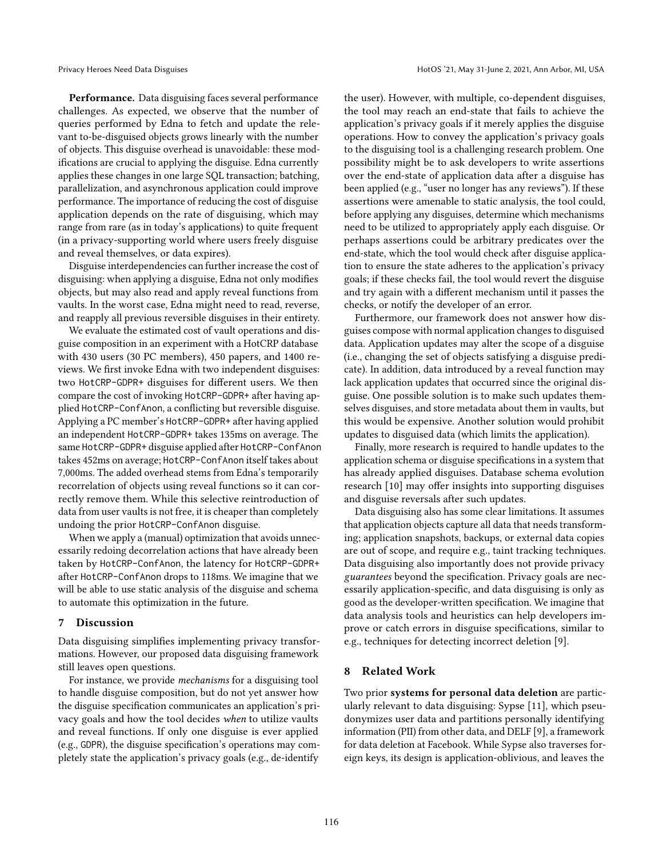Performance. Data disguising faces several performance challenges. As expected, we observe that the number of queries performed by Edna to fetch and update the relevant to-be-disguised objects grows linearly with the number of objects. This disguise overhead is unavoidable: these modifications are crucial to applying the disguise. Edna currently applies these changes in one large SQL transaction; batching, parallelization, and asynchronous application could improve performance. The importance of reducing the cost of disguise application depends on the rate of disguising, which may range from rare (as in today's applications) to quite frequent (in a privacy-supporting world where users freely disguise and reveal themselves, or data expires).

Disguise interdependencies can further increase the cost of disguising: when applying a disguise, Edna not only modifies objects, but may also read and apply reveal functions from vaults. In the worst case, Edna might need to read, reverse, and reapply all previous reversible disguises in their entirety.

We evaluate the estimated cost of vault operations and disguise composition in an experiment with a HotCRP database with 430 users (30 PC members), 450 papers, and 1400 reviews. We first invoke Edna with two independent disguises: two HotCRP-GDPR+ disguises for different users. We then compare the cost of invoking HotCRP-GDPR+ after having applied HotCRP-ConfAnon, a conflicting but reversible disguise. Applying a PC member's HotCRP-GDPR+ after having applied an independent HotCRP-GDPR+ takes 135ms on average. The same HotCRP-GDPR+ disguise applied after HotCRP-ConfAnon takes 452ms on average; HotCRP-ConfAnon itself takes about 7,000ms. The added overhead stems from Edna's temporarily recorrelation of objects using reveal functions so it can correctly remove them. While this selective reintroduction of data from user vaults is not free, it is cheaper than completely undoing the prior HotCRP-ConfAnon disguise.

When we apply a (manual) optimization that avoids unnecessarily redoing decorrelation actions that have already been taken by HotCRP-ConfAnon, the latency for HotCRP-GDPR+ after HotCRP-ConfAnon drops to 118ms. We imagine that we will be able to use static analysis of the disguise and schema to automate this optimization in the future.

### <span id="page-4-0"></span>7 Discussion

Data disguising simplifies implementing privacy transformations. However, our proposed data disguising framework still leaves open questions.

For instance, we provide mechanisms for a disguising tool to handle disguise composition, but do not yet answer how the disguise specification communicates an application's privacy goals and how the tool decides when to utilize vaults and reveal functions. If only one disguise is ever applied (e.g., GDPR), the disguise specification's operations may completely state the application's privacy goals (e.g., de-identify the user). However, with multiple, co-dependent disguises, the tool may reach an end-state that fails to achieve the application's privacy goals if it merely applies the disguise operations. How to convey the application's privacy goals to the disguising tool is a challenging research problem. One possibility might be to ask developers to write assertions over the end-state of application data after a disguise has been applied (e.g., "user no longer has any reviews"). If these assertions were amenable to static analysis, the tool could, before applying any disguises, determine which mechanisms need to be utilized to appropriately apply each disguise. Or perhaps assertions could be arbitrary predicates over the end-state, which the tool would check after disguise application to ensure the state adheres to the application's privacy goals; if these checks fail, the tool would revert the disguise and try again with a different mechanism until it passes the checks, or notify the developer of an error.

Furthermore, our framework does not answer how disguises compose with normal application changes to disguised data. Application updates may alter the scope of a disguise (i.e., changing the set of objects satisfying a disguise predicate). In addition, data introduced by a reveal function may lack application updates that occurred since the original disguise. One possible solution is to make such updates themselves disguises, and store metadata about them in vaults, but this would be expensive. Another solution would prohibit updates to disguised data (which limits the application).

Finally, more research is required to handle updates to the application schema or disguise specifications in a system that has already applied disguises. Database schema evolution research [\[10\]](#page-5-2) may offer insights into supporting disguises and disguise reversals after such updates.

Data disguising also has some clear limitations. It assumes that application objects capture all data that needs transforming; application snapshots, backups, or external data copies are out of scope, and require e.g., taint tracking techniques. Data disguising also importantly does not provide privacy guarantees beyond the specification. Privacy goals are necessarily application-specific, and data disguising is only as good as the developer-written specification. We imagine that data analysis tools and heuristics can help developers improve or catch errors in disguise specifications, similar to e.g., techniques for detecting incorrect deletion [\[9\]](#page-5-3).

## 8 Related Work

Two prior systems for personal data deletion are particularly relevant to data disguising: Sypse [\[11\]](#page-5-4), which pseudonymizes user data and partitions personally identifying information (PII) from other data, and DELF [\[9\]](#page-5-3), a framework for data deletion at Facebook. While Sypse also traverses foreign keys, its design is application-oblivious, and leaves the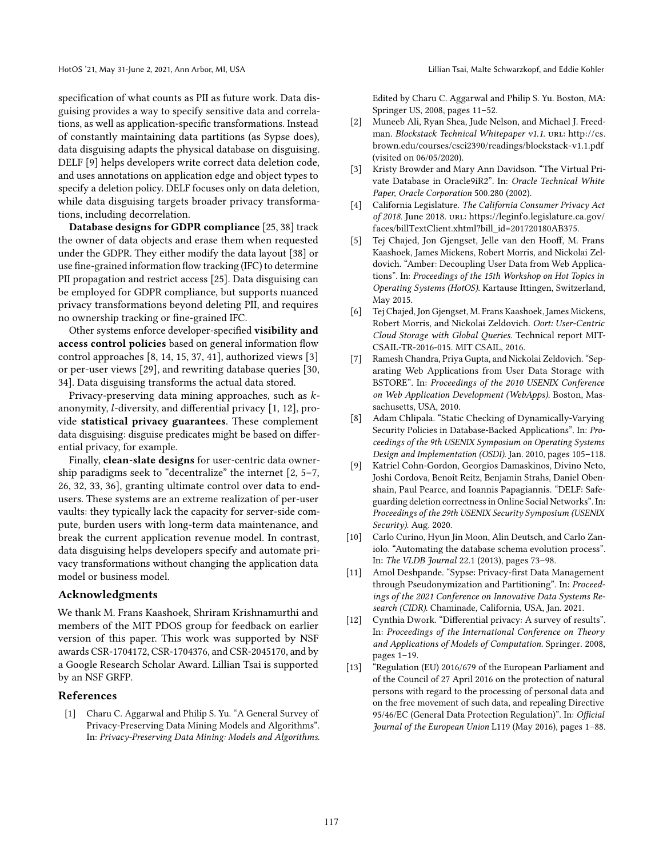specification of what counts as PII as future work. Data disguising provides a way to specify sensitive data and correlations, as well as application-specific transformations. Instead of constantly maintaining data partitions (as Sypse does), data disguising adapts the physical database on disguising. DELF [\[9\]](#page-5-3) helps developers write correct data deletion code, and uses annotations on application edge and object types to specify a deletion policy. DELF focuses only on data deletion, while data disguising targets broader privacy transformations, including decorrelation.

Database designs for GDPR compliance [\[25,](#page-6-17) [38\]](#page-6-18) track the owner of data objects and erase them when requested under the GDPR. They either modify the data layout [\[38\]](#page-6-18) or use fine-grained information flow tracking (IFC) to determine PII propagation and restrict access [\[25\]](#page-6-17). Data disguising can be employed for GDPR compliance, but supports nuanced privacy transformations beyond deleting PII, and requires no ownership tracking or fine-grained IFC.

Other systems enforce developer-specified visibility and access control policies based on general information flow control approaches [\[8,](#page-5-5) [14,](#page-6-19) [15,](#page-6-20) [37,](#page-6-21) [41\]](#page-6-22), authorized views [\[3\]](#page-5-6) or per-user views [\[29\]](#page-6-23), and rewriting database queries [\[30,](#page-6-24) [34\]](#page-6-25). Data disguising transforms the actual data stored.

Privacy-preserving data mining approaches, such as  $k$ anonymity,  $l$ -diversity, and differential privacy  $[1, 12]$  $[1, 12]$ , provide statistical privacy guarantees. These complement data disguising: disguise predicates might be based on differential privacy, for example.

Finally, clean-slate designs for user-centric data ownership paradigms seek to "decentralize" the internet [\[2,](#page-5-9) [5–](#page-5-10)[7,](#page-5-11) [26,](#page-6-26) [32,](#page-6-27) [33,](#page-6-28) [36\]](#page-6-29), granting ultimate control over data to endusers. These systems are an extreme realization of per-user vaults: they typically lack the capacity for server-side compute, burden users with long-term data maintenance, and break the current application revenue model. In contrast, data disguising helps developers specify and automate privacy transformations without changing the application data model or business model.

### Acknowledgments

We thank M. Frans Kaashoek, Shriram Krishnamurthi and members of the MIT PDOS group for feedback on earlier version of this paper. This work was supported by NSF awards CSR-1704172, CSR-1704376, and CSR-2045170, and by a Google Research Scholar Award. Lillian Tsai is supported by an NSF GRFP.

## References

<span id="page-5-7"></span>[1] Charu C. Aggarwal and Philip S. Yu. "A General Survey of Privacy-Preserving Data Mining Models and Algorithms". In: Privacy-Preserving Data Mining: Models and Algorithms. Edited by Charu C. Aggarwal and Philip S. Yu. Boston, MA: Springer US, 2008, pages 11–52.

- <span id="page-5-9"></span>[2] Muneeb Ali, Ryan Shea, Jude Nelson, and Michael J. Freedman. Blockstack Technical Whitepaper v1.1. URL: [http://cs.](http://cs.brown.edu/courses/csci2390/readings/blockstack-v1.1.pdf) [brown.edu/courses/csci2390/readings/blockstack-v1.1.pdf](http://cs.brown.edu/courses/csci2390/readings/blockstack-v1.1.pdf) (visited on 06/05/2020).
- <span id="page-5-6"></span>[3] Kristy Browder and Mary Ann Davidson. "The Virtual Private Database in Oracle9iR2". In: Oracle Technical White Paper, Oracle Corporation 500.280 (2002).
- <span id="page-5-1"></span>[4] California Legislature. The California Consumer Privacy Act of 2018. June 2018. url: [https://leginfo.legislature.ca.gov/](https://leginfo.legislature.ca.gov/faces/billTextClient.xhtml?bill_id=201720180AB375) [faces/billTextClient.xhtml?bill\\_id=201720180AB375.](https://leginfo.legislature.ca.gov/faces/billTextClient.xhtml?bill_id=201720180AB375)
- <span id="page-5-10"></span>[5] Tej Chajed, Jon Gjengset, Jelle van den Hooff, M. Frans Kaashoek, James Mickens, Robert Morris, and Nickolai Zeldovich. "Amber: Decoupling User Data from Web Applications". In: Proceedings of the 15th Workshop on Hot Topics in Operating Systems (HotOS). Kartause Ittingen, Switzerland, May 2015.
- [6] Tej Chajed, Jon Gjengset, M. Frans Kaashoek, James Mickens, Robert Morris, and Nickolai Zeldovich. Oort: User-Centric Cloud Storage with Global Queries. Technical report MIT-CSAIL-TR-2016-015. MIT CSAIL, 2016.
- <span id="page-5-11"></span>[7] Ramesh Chandra, Priya Gupta, and Nickolai Zeldovich. "Separating Web Applications from User Data Storage with BSTORE". In: Proceedings of the 2010 USENIX Conference on Web Application Development (WebApps). Boston, Massachusetts, USA, 2010.
- <span id="page-5-5"></span>[8] Adam Chlipala. "Static Checking of Dynamically-Varying Security Policies in Database-Backed Applications". In: Proceedings of the 9th USENIX Symposium on Operating Systems Design and Implementation (OSDI). Jan. 2010, pages 105–118.
- <span id="page-5-3"></span>[9] Katriel Cohn-Gordon, Georgios Damaskinos, Divino Neto, Joshi Cordova, Benoít Reitz, Benjamin Strahs, Daniel Obenshain, Paul Pearce, and Ioannis Papagiannis. "DELF: Safeguarding deletion correctness in Online Social Networks". In: Proceedings of the 29th USENIX Security Symposium (USENIX Security). Aug. 2020.
- <span id="page-5-2"></span>[10] Carlo Curino, Hyun Jin Moon, Alin Deutsch, and Carlo Zaniolo. "Automating the database schema evolution process". In: The VLDB Journal 22.1 (2013), pages 73–98.
- <span id="page-5-4"></span>[11] Amol Deshpande. "Sypse: Privacy-first Data Management through Pseudonymization and Partitioning". In: Proceedings of the 2021 Conference on Innovative Data Systems Research (CIDR). Chaminade, California, USA, Jan. 2021.
- <span id="page-5-8"></span>[12] Cynthia Dwork. "Differential privacy: A survey of results". In: Proceedings of the International Conference on Theory and Applications of Models of Computation. Springer. 2008, pages 1–19.
- <span id="page-5-0"></span>[13] "Regulation (EU) 2016/679 of the European Parliament and of the Council of 27 April 2016 on the protection of natural persons with regard to the processing of personal data and on the free movement of such data, and repealing Directive 95/46/EC (General Data Protection Regulation)". In: Official Journal of the European Union L119 (May 2016), pages 1–88.